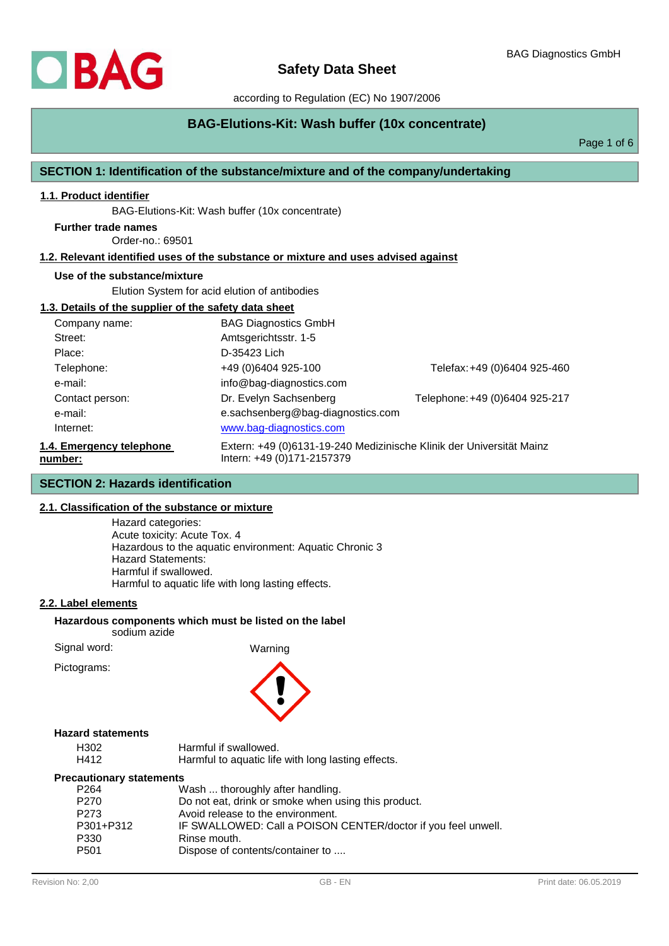

# **BAG-Elutions-Kit: Wash buffer (10x concentrate)**

Page 1 of 6

## **SECTION 1: Identification of the substance/mixture and of the company/undertaking**

# **1.1. Product identifier**

BAG-Elutions-Kit: Wash buffer (10x concentrate)

Order-no.: 69501 **Further trade names**

#### **1.2. Relevant identified uses of the substance or mixture and uses advised against**

## **Use of the substance/mixture**

Elution System for acid elution of antibodies

#### **1.3. Details of the supplier of the safety data sheet**

| Company name:                       | <b>BAG Diagnostics GmbH</b>                                                                        |                                |
|-------------------------------------|----------------------------------------------------------------------------------------------------|--------------------------------|
| Street:                             | Amtsgerichtsstr. 1-5                                                                               |                                |
| Place:                              | D-35423 Lich                                                                                       |                                |
| Telephone:                          | +49 (0)6404 925-100                                                                                | Telefax: +49 (0)6404 925-460   |
| e-mail:                             | info@bag-diagnostics.com                                                                           |                                |
| Contact person:                     | Dr. Evelyn Sachsenberg                                                                             | Telephone: +49 (0)6404 925-217 |
| e-mail:                             | e.sachsenberg@bag-diagnostics.com                                                                  |                                |
| Internet:                           | www.bag-diagnostics.com                                                                            |                                |
| 1.4. Emergency telephone<br>number: | Extern: +49 (0)6131-19-240 Medizinische Klinik der Universität Mainz<br>Intern: +49 (0)171-2157379 |                                |

## **SECTION 2: Hazards identification**

## **2.1. Classification of the substance or mixture**

Hazard categories: Acute toxicity: Acute Tox. 4 Hazardous to the aquatic environment: Aquatic Chronic 3 Hazard Statements: Harmful if swallowed. Harmful to aquatic life with long lasting effects.

## **2.2. Label elements**

**Hazardous components which must be listed on the label** sodium azide

Signal word: Warning

Pictograms:



## **Hazard statements**

| H <sub>302</sub> | Harmful if swallowed.                              |
|------------------|----------------------------------------------------|
| H412             | Harmful to aquatic life with long lasting effects. |

## **Precautionary statements**

| P <sub>264</sub> | Wash  thoroughly after handling.                              |
|------------------|---------------------------------------------------------------|
| P <sub>270</sub> | Do not eat, drink or smoke when using this product.           |
| P <sub>273</sub> | Avoid release to the environment.                             |
| P301+P312        | IF SWALLOWED: Call a POISON CENTER/doctor if you feel unwell. |
| P330             | Rinse mouth.                                                  |
| P <sub>501</sub> | Dispose of contents/container to                              |
|                  |                                                               |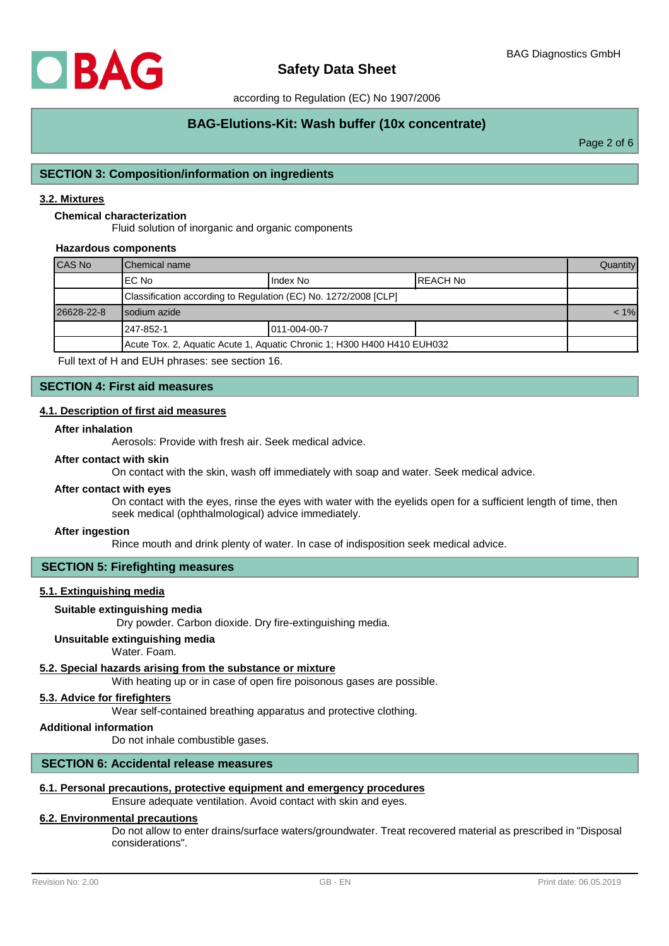

# **BAG-Elutions-Kit: Wash buffer (10x concentrate)**

Page 2 of 6

## **SECTION 3: Composition/information on ingredients**

## **3.2. Mixtures**

## **Chemical characterization**

Fluid solution of inorganic and organic components

#### **Hazardous components**

| CAS No     | <b>I</b> Chemical name                                                  |              |  | <b>Quantity</b> |
|------------|-------------------------------------------------------------------------|--------------|--|-----------------|
|            | IEC No<br>Index No<br>IREACH No                                         |              |  |                 |
|            | Classification according to Regulation (EC) No. 1272/2008 [CLP]         |              |  |                 |
| 26628-22-8 | I sodium azide                                                          |              |  | $< 1\%$         |
|            | l 247-852-1                                                             | 011-004-00-7 |  |                 |
|            | Acute Tox. 2, Aquatic Acute 1, Aquatic Chronic 1; H300 H400 H410 EUH032 |              |  |                 |

Full text of H and EUH phrases: see section 16.

#### **SECTION 4: First aid measures**

#### **4.1. Description of first aid measures**

#### **After inhalation**

Aerosols: Provide with fresh air. Seek medical advice.

#### **After contact with skin**

On contact with the skin, wash off immediately with soap and water. Seek medical advice.

#### **After contact with eyes**

On contact with the eyes, rinse the eyes with water with the eyelids open for a sufficient length of time, then seek medical (ophthalmological) advice immediately.

#### **After ingestion**

Rince mouth and drink plenty of water. In case of indisposition seek medical advice.

#### **SECTION 5: Firefighting measures**

## **5.1. Extinguishing media**

## **Suitable extinguishing media**

Dry powder. Carbon dioxide. Dry fire-extinguishing media.

## **Unsuitable extinguishing media**

Water. Foam.

## **5.2. Special hazards arising from the substance or mixture**

With heating up or in case of open fire poisonous gases are possible.

# **5.3. Advice for firefighters**

Wear self-contained breathing apparatus and protective clothing.

#### **Additional information**

Do not inhale combustible gases.

#### **SECTION 6: Accidental release measures**

# **6.1. Personal precautions, protective equipment and emergency procedures**

Ensure adequate ventilation. Avoid contact with skin and eyes.

## **6.2. Environmental precautions**

Do not allow to enter drains/surface waters/groundwater. Treat recovered material as prescribed in "Disposal considerations".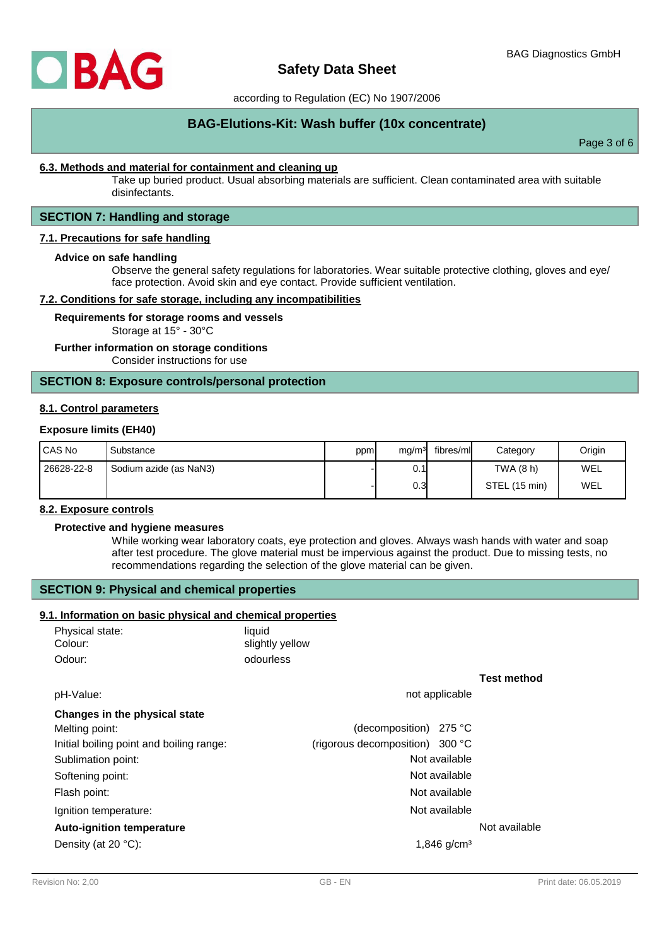

# **BAG-Elutions-Kit: Wash buffer (10x concentrate)**

Page 3 of 6

## **6.3. Methods and material for containment and cleaning up**

Take up buried product. Usual absorbing materials are sufficient. Clean contaminated area with suitable disinfectants.

# **SECTION 7: Handling and storage**

## **7.1. Precautions for safe handling**

#### **Advice on safe handling**

Observe the general safety regulations for laboratories. Wear suitable protective clothing, gloves and eye/ face protection. Avoid skin and eye contact. Provide sufficient ventilation.

#### **7.2. Conditions for safe storage, including any incompatibilities**

**Requirements for storage rooms and vessels**

Storage at 15° - 30°C

#### **Further information on storage conditions**

Consider instructions for use

#### **SECTION 8: Exposure controls/personal protection**

#### **8.1. Control parameters**

#### **Exposure limits (EH40)**

| I CAS No   | Substance              | ppml | ma/m <sup>3</sup> | fibres/ml | Category      | Origin |
|------------|------------------------|------|-------------------|-----------|---------------|--------|
| 26628-22-8 | Sodium azide (as NaN3) |      | 0.1               |           | TWA (8 h)     | WEL    |
|            |                        |      | 0.3               |           | STEL (15 min) | WEL    |

## **8.2. Exposure controls**

#### **Protective and hygiene measures**

While working wear laboratory coats, eye protection and gloves. Always wash hands with water and soap after test procedure. The glove material must be impervious against the product. Due to missing tests, no recommendations regarding the selection of the glove material can be given.

## **SECTION 9: Physical and chemical properties**

## **9.1. Information on basic physical and chemical properties**

| Physical state: | liauid          |
|-----------------|-----------------|
| Colour:         | slightly yellow |
| Odour:          | odourless       |

# **Test method**

| pH-Value:                                | not applicable                  |               |  |
|------------------------------------------|---------------------------------|---------------|--|
| Changes in the physical state            |                                 |               |  |
| Melting point:                           | (decomposition) $275 °C$        |               |  |
| Initial boiling point and boiling range: | (rigorous decomposition) 300 °C |               |  |
| Sublimation point:                       | Not available                   |               |  |
| Softening point:                         | Not available                   |               |  |
| Flash point:                             | Not available                   |               |  |
| Ignition temperature:                    | Not available                   |               |  |
| <b>Auto-ignition temperature</b>         |                                 | Not available |  |
| Density (at $20 °C$ ):                   | 1,846 $q/cm3$                   |               |  |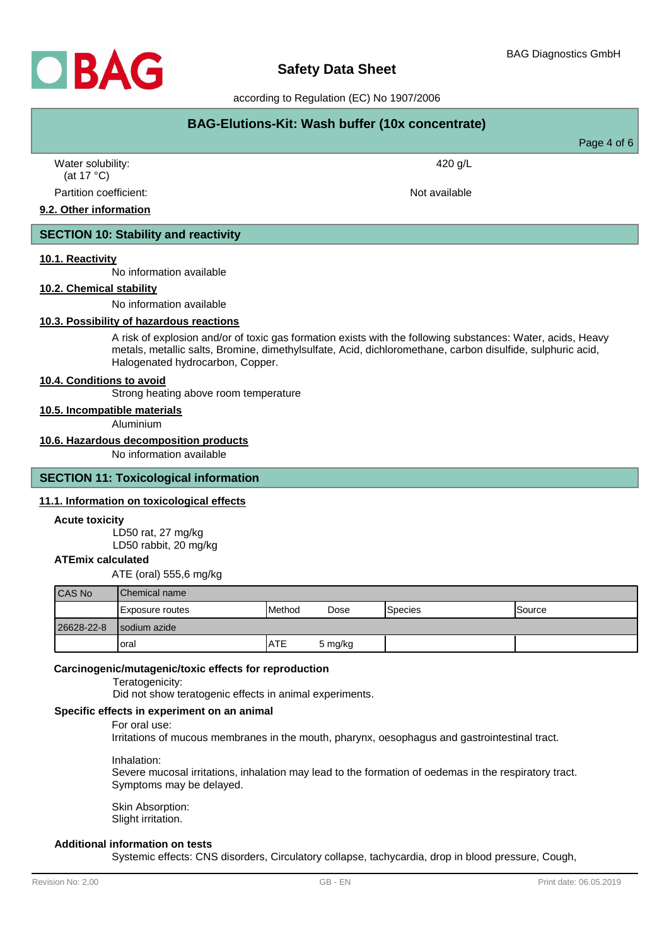

# **Safety Data Sheet**

according to Regulation (EC) No 1907/2006

| BAG-Elutions-Kit: Wash buffer (10x concentrate) |               |             |  |
|-------------------------------------------------|---------------|-------------|--|
|                                                 |               | Page 4 of 6 |  |
| Water solubility:<br>(at 17 $^{\circ}$ C)       | 420 g/L       |             |  |
| Partition coefficient:                          | Not available |             |  |
| 9.2. Other information                          |               |             |  |

# **SECTION 10: Stability and reactivity**

## **10.1. Reactivity**

No information available

## **10.2. Chemical stability**

No information available

#### **10.3. Possibility of hazardous reactions**

A risk of explosion and/or of toxic gas formation exists with the following substances: Water, acids, Heavy metals, metallic salts, Bromine, dimethylsulfate, Acid, dichloromethane, carbon disulfide, sulphuric acid, Halogenated hydrocarbon, Copper.

#### **10.4. Conditions to avoid**

Strong heating above room temperature

**10.5. Incompatible materials**

Aluminium

## **10.6. Hazardous decomposition products**

No information available

## **SECTION 11: Toxicological information**

## **11.1. Information on toxicological effects**

#### **Acute toxicity**

LD50 rat, 27 mg/kg LD50 rabbit, 20 mg/kg

## **ATEmix calculated**

ATE (oral) 555,6 mg/kg

| CAS No     | <b>IChemical name</b> |                 |         |                 |                |
|------------|-----------------------|-----------------|---------|-----------------|----------------|
|            | Exposure routes       | <b>I</b> Method | Dose    | <b>S</b> pecies | <b>ISource</b> |
| 26628-22-8 | Isodium azide         |                 |         |                 |                |
|            | loral                 | <b>ATE</b>      | 5 mg/kg |                 |                |

## **Carcinogenic/mutagenic/toxic effects for reproduction**

Teratogenicity:

Did not show teratogenic effects in animal experiments.

## **Specific effects in experiment on an animal**

For oral use:

Irritations of mucous membranes in the mouth, pharynx, oesophagus and gastrointestinal tract.

#### Inhalation:

Severe mucosal irritations, inhalation may lead to the formation of oedemas in the respiratory tract. Symptoms may be delayed.

Skin Absorption: Slight irritation.

## **Additional information on tests**

Systemic effects: CNS disorders, Circulatory collapse, tachycardia, drop in blood pressure, Cough,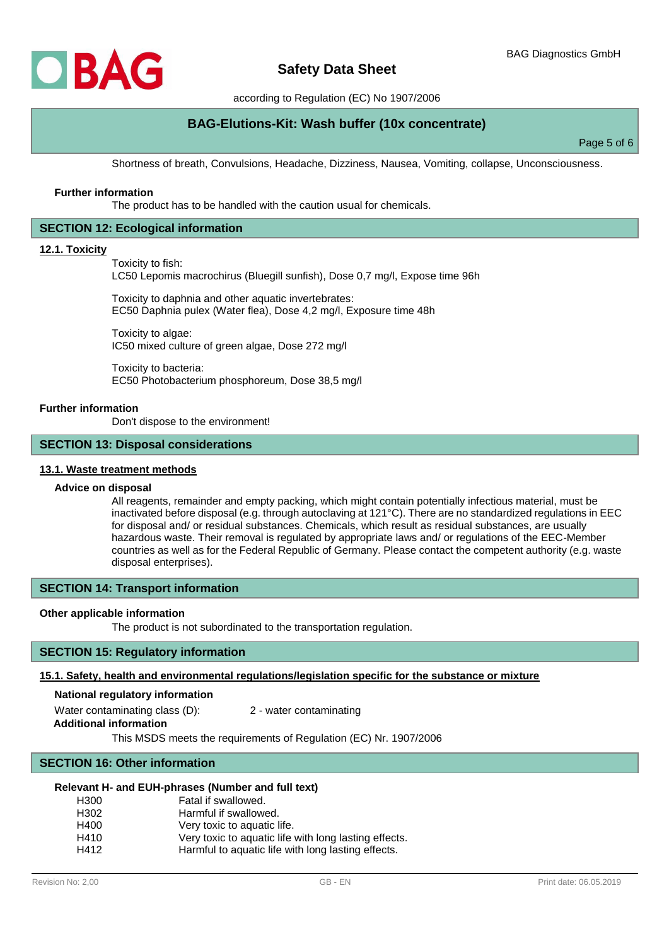

# **BAG-Elutions-Kit: Wash buffer (10x concentrate)**

Page 5 of 6

Shortness of breath, Convulsions, Headache, Dizziness, Nausea, Vomiting, collapse, Unconsciousness.

#### **Further information**

The product has to be handled with the caution usual for chemicals.

## **SECTION 12: Ecological information**

#### **12.1. Toxicity**

Toxicity to fish:

LC50 Lepomis macrochirus (Bluegill sunfish), Dose 0,7 mg/l, Expose time 96h

Toxicity to daphnia and other aquatic invertebrates: EC50 Daphnia pulex (Water flea), Dose 4,2 mg/l, Exposure time 48h

Toxicity to algae: IC50 mixed culture of green algae, Dose 272 mg/l

Toxicity to bacteria: EC50 Photobacterium phosphoreum, Dose 38,5 mg/l

#### **Further information**

Don't dispose to the environment!

#### **SECTION 13: Disposal considerations**

#### **13.1. Waste treatment methods**

## **Advice on disposal**

All reagents, remainder and empty packing, which might contain potentially infectious material, must be inactivated before disposal (e.g. through autoclaving at 121°C). There are no standardized regulations in EEC for disposal and/ or residual substances. Chemicals, which result as residual substances, are usually hazardous waste. Their removal is regulated by appropriate laws and/ or regulations of the EEC-Member countries as well as for the Federal Republic of Germany. Please contact the competent authority (e.g. waste disposal enterprises).

## **SECTION 14: Transport information**

#### **Other applicable information**

The product is not subordinated to the transportation regulation.

## **SECTION 15: Regulatory information**

#### **15.1. Safety, health and environmental regulations/legislation specific for the substance or mixture**

## **National regulatory information**

Water contaminating class (D): 2 - water contaminating

**Additional information**

This MSDS meets the requirements of Regulation (EC) Nr. 1907/2006

## **SECTION 16: Other information**

#### **Relevant H- and EUH-phrases (Number and full text)**

| H300 | Fatal if swallowed.                                   |
|------|-------------------------------------------------------|
| H302 | Harmful if swallowed.                                 |
| H400 | Very toxic to aquatic life.                           |
| H410 | Very toxic to aquatic life with long lasting effects. |
| H412 | Harmful to aquatic life with long lasting effects.    |
|      |                                                       |